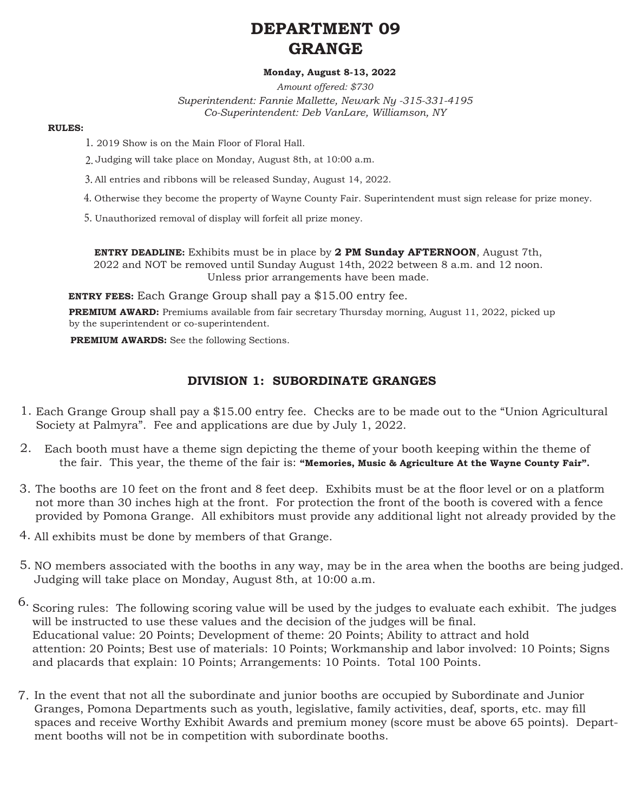# **DEPARTMENT 09 GRANGE**

### **Monday, August 8-13, 2022**

*Amount offered: \$730 Superintendent: Fannie Mallette, Newark Ny -315-331-4195 Co-Superintendent: Deb VanLare, Williamson, NY*

#### **RULES:**

- 2019 Show is on the Main Floor of Floral Hall. 1.
- Judging will take place on Monday, August 8th, at 10:00 a.m. 2.
- All entries and ribbons will be released Sunday, August 14, 2022. 3.
- 4. Otherwise they become the property of Wayne County Fair. Superintendent must sign release for prize money.
- 5. Unauthorized removal of display will forfeit all prize money.

**ENTRY DEADLINE:** Exhibits must be in place by **2 PM Sunday AFTERNOON**, August 7th, 2022 and NOT be removed until Sunday August 14th, 2022 between 8 a.m. and 12 noon. Unless prior arrangements have been made.

**ENTRY FEES:** Each Grange Group shall pay a \$15.00 entry fee.

**PREMIUM AWARD:** Premiums available from fair secretary Thursday morning, August 11, 2022, picked up by the superintendent or co-superintendent.

**PREMIUM AWARDS:** See the following Sections.

## **DIVISION 1: SUBORDINATE GRANGES**

- Each Grange Group shall pay a \$15.00 entry fee. Checks are to be made out to the "Union Agricultural 1. Society at Palmyra". Fee and applications are due by July 1, 2022.
- Each booth must have a theme sign depicting the theme of your booth keeping within the theme of 2. the fair. This year, the theme of the fair is: **"Memories, Music & Agriculture At the Wayne County Fair".**
- The booths are 10 feet on the front and 8 feet deep. Exhibits must be at the floor level or on a platform 3. not more than 30 inches high at the front. For protection the front of the booth is covered with a fence provided by Pomona Grange. All exhibitors must provide any additional light not already provided by the
- All exhibits must be done by members of that Grange. 4.
- 5. NO members associated with the booths in any way, may be in the area when the booths are being judged. Judging will take place on Monday, August 8th, at 10:00 a.m.
- Scoring rules: The following scoring value will be used by the judges to evaluate each exhibit. The judges will be instructed to use these values and the decision of the judges will be final. Educational value: 20 Points; Development of theme: 20 Points; Ability to attract and hold attention: 20 Points; Best use of materials: 10 Points; Workmanship and labor involved: 10 Points; Signs and placards that explain: 10 Points; Arrangements: 10 Points. Total 100 Points. 6.
- In the event that not all the subordinate and junior booths are occupied by Subordinate and Junior 7. Granges, Pomona Departments such as youth, legislative, family activities, deaf, sports, etc. may fill spaces and receive Worthy Exhibit Awards and premium money (score must be above 65 points). Department booths will not be in competition with subordinate booths.